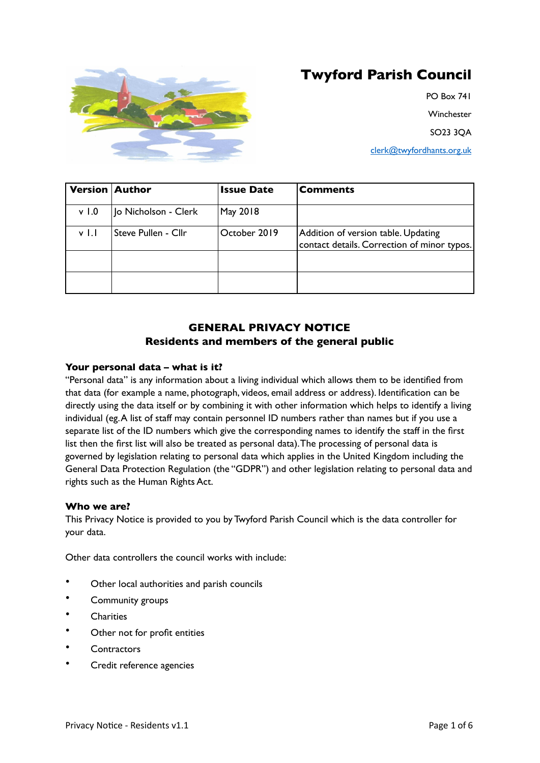

# **Twyford Parish Council**

PO Box 741 **Winchester** SO23 3QA

[clerk@twyfordhants.org.uk](mailto:clerk@twyfordhants.org.uk)

| <b>Version Author</b> |                      | <b>Issue Date</b> | <b>Comments</b>                                                                    |
|-----------------------|----------------------|-------------------|------------------------------------------------------------------------------------|
| v <sub>1.0</sub>      | Jo Nicholson - Clerk | May 2018          |                                                                                    |
| v Ll                  | Steve Pullen - Cllr  | October 2019      | Addition of version table. Updating<br>contact details. Correction of minor typos. |
|                       |                      |                   |                                                                                    |
|                       |                      |                   |                                                                                    |

# **GENERAL PRIVACY NOTICE Residents and members of the general public**

# **Your personal data – what is it?**

"Personal data" is any information about a living individual which allows them to be identified from that data (for example a name, photograph, videos, email address or address). Identification can be directly using the data itself or by combining it with other information which helps to identify a living individual (eg. A list of staff may contain personnel ID numbers rather than names but if you use a separate list of the ID numbers which give the corresponding names to identify the staff in the first list then the first list will also be treated as personal data). The processing of personal data is governed by legislation relating to personal data which applies in the United Kingdom including the General Data Protection Regulation (the "GDPR") and other legislation relating to personal data and rights such as the Human Rights Act.

# **Who we are?**

This Privacy Notice is provided to you by Twyford Parish Council which is the data controller for your data.

Other data controllers the council works with include:

- Other local authorities and parish councils
- Community groups
- **Charities**
- Other not for profit entities
- Contractors
- Credit reference agencies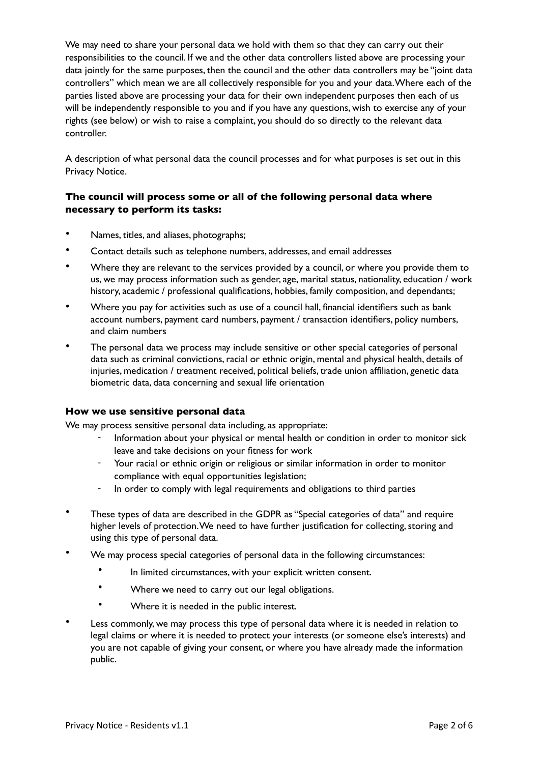We may need to share your personal data we hold with them so that they can carry out their responsibilities to the council. If we and the other data controllers listed above are processing your data jointly for the same purposes, then the council and the other data controllers may be "joint data controllers" which mean we are all collectively responsible for you and your data. Where each of the parties listed above are processing your data for their own independent purposes then each of us will be independently responsible to you and if you have any questions, wish to exercise any of your rights (see below) or wish to raise a complaint, you should do so directly to the relevant data controller.

A description of what personal data the council processes and for what purposes is set out in this Privacy Notice.

# **The council will process some or all of the following personal data where necessary to perform its tasks:**

- Names, titles, and aliases, photographs;
- Contact details such as telephone numbers, addresses, and email addresses
- Where they are relevant to the services provided by a council, or where you provide them to us, we may process information such as gender, age, marital status, nationality, education / work history, academic / professional qualifications, hobbies, family composition, and dependants;
- Where you pay for activities such as use of a council hall, financial identifiers such as bank account numbers, payment card numbers, payment / transaction identifiers, policy numbers, and claim numbers
- The personal data we process may include sensitive or other special categories of personal data such as criminal convictions, racial or ethnic origin, mental and physical health, details of injuries, medication / treatment received, political beliefs, trade union affiliation, genetic data biometric data, data concerning and sexual life orientation

## **How we use sensitive personal data**

We may process sensitive personal data including, as appropriate:

- Information about your physical or mental health or condition in order to monitor sick leave and take decisions on your fitness for work
- Your racial or ethnic origin or religious or similar information in order to monitor compliance with equal opportunities legislation;
- In order to comply with legal requirements and obligations to third parties
- These types of data are described in the GDPR as "Special categories of data" and require higher levels of protection. We need to have further justification for collecting, storing and using this type of personal data.
- We may process special categories of personal data in the following circumstances:
	- In limited circumstances, with your explicit written consent.
	- Where we need to carry out our legal obligations.
	- Where it is needed in the public interest.
- Less commonly, we may process this type of personal data where it is needed in relation to legal claims or where it is needed to protect your interests (or someone else's interests) and you are not capable of giving your consent, or where you have already made the information public.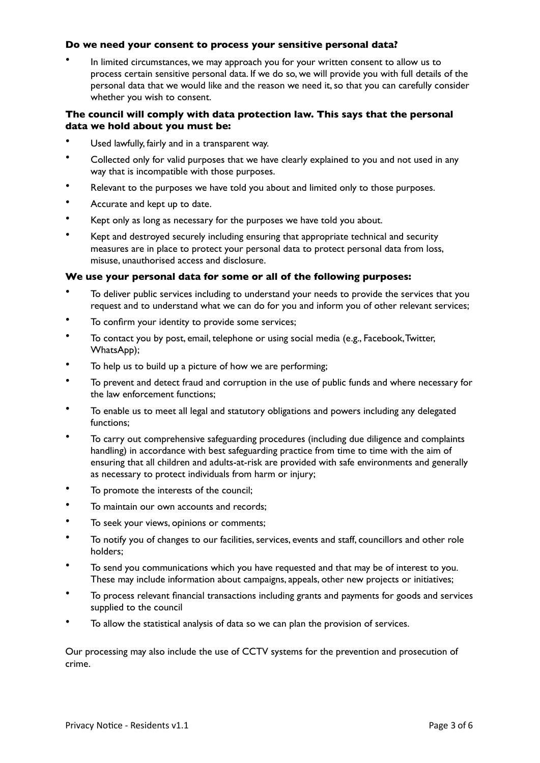## **Do we need your consent to process your sensitive personal data?**

• In limited circumstances, we may approach you for your written consent to allow us to process certain sensitive personal data. If we do so, we will provide you with full details of the personal data that we would like and the reason we need it, so that you can carefully consider whether you wish to consent.

# **The council will comply with data protection law. This says that the personal data we hold about you must be:**

- Used lawfully, fairly and in a transparent way.
- Collected only for valid purposes that we have clearly explained to you and not used in any way that is incompatible with those purposes.
- Relevant to the purposes we have told you about and limited only to those purposes.
- Accurate and kept up to date.
- Kept only as long as necessary for the purposes we have told you about.
- Kept and destroyed securely including ensuring that appropriate technical and security measures are in place to protect your personal data to protect personal data from loss, misuse, unauthorised access and disclosure.

# **We use your personal data for some or all of the following purposes:**

- To deliver public services including to understand your needs to provide the services that you request and to understand what we can do for you and inform you of other relevant services;
- To confirm your identity to provide some services;
- To contact you by post, email, telephone or using social media (e.g., Facebook, Twitter, WhatsApp);
- To help us to build up a picture of how we are performing;
- To prevent and detect fraud and corruption in the use of public funds and where necessary for the law enforcement functions;
- To enable us to meet all legal and statutory obligations and powers including any delegated functions;
- To carry out comprehensive safeguarding procedures (including due diligence and complaints handling) in accordance with best safeguarding practice from time to time with the aim of ensuring that all children and adults-at-risk are provided with safe environments and generally as necessary to protect individuals from harm or injury;
- To promote the interests of the council;
- To maintain our own accounts and records;
- To seek your views, opinions or comments;
- To notify you of changes to our facilities, services, events and staff, councillors and other role holders;
- To send you communications which you have requested and that may be of interest to you. These may include information about campaigns, appeals, other new projects or initiatives;
- To process relevant financial transactions including grants and payments for goods and services supplied to the council
- To allow the statistical analysis of data so we can plan the provision of services.

Our processing may also include the use of CCTV systems for the prevention and prosecution of crime.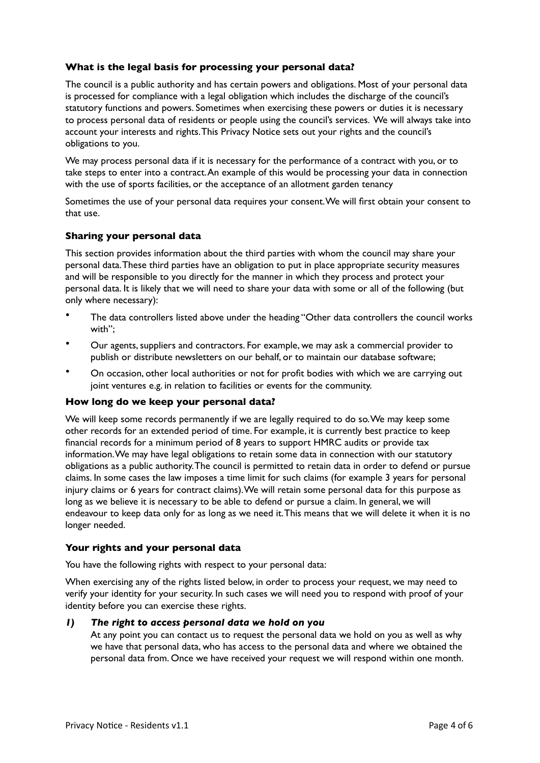# **What is the legal basis for processing your personal data?**

The council is a public authority and has certain powers and obligations. Most of your personal data is processed for compliance with a legal obligation which includes the discharge of the council's statutory functions and powers. Sometimes when exercising these powers or duties it is necessary to process personal data of residents or people using the council's services. We will always take into account your interests and rights. This Privacy Notice sets out your rights and the council's obligations to you.

We may process personal data if it is necessary for the performance of a contract with you, or to take steps to enter into a contract. An example of this would be processing your data in connection with the use of sports facilities, or the acceptance of an allotment garden tenancy

Sometimes the use of your personal data requires your consent. We will first obtain your consent to that use.

## **Sharing your personal data**

This section provides information about the third parties with whom the council may share your personal data. These third parties have an obligation to put in place appropriate security measures and will be responsible to you directly for the manner in which they process and protect your personal data. It is likely that we will need to share your data with some or all of the following (but only where necessary):

- The data controllers listed above under the heading "Other data controllers the council works with";
- Our agents, suppliers and contractors. For example, we may ask a commercial provider to publish or distribute newsletters on our behalf, or to maintain our database software;
- On occasion, other local authorities or not for profit bodies with which we are carrying out joint ventures e.g. in relation to facilities or events for the community.

#### **How long do we keep your personal data?**

We will keep some records permanently if we are legally required to do so. We may keep some other records for an extended period of time. For example, it is currently best practice to keep financial records for a minimum period of 8 years to support HMRC audits or provide tax information. We may have legal obligations to retain some data in connection with our statutory obligations as a public authority. The council is permitted to retain data in order to defend or pursue claims. In some cases the law imposes a time limit for such claims (for example 3 years for personal injury claims or 6 years for contract claims). We will retain some personal data for this purpose as long as we believe it is necessary to be able to defend or pursue a claim. In general, we will endeavour to keep data only for as long as we need it. This means that we will delete it when it is no longer needed.

#### **Your rights and your personal data**

You have the following rights with respect to your personal data:

When exercising any of the rights listed below, in order to process your request, we may need to verify your identity for your security. In such cases we will need you to respond with proof of your identity before you can exercise these rights.

#### *1) The right to access personal data we hold on you*

At any point you can contact us to request the personal data we hold on you as well as why we have that personal data, who has access to the personal data and where we obtained the personal data from. Once we have received your request we will respond within one month.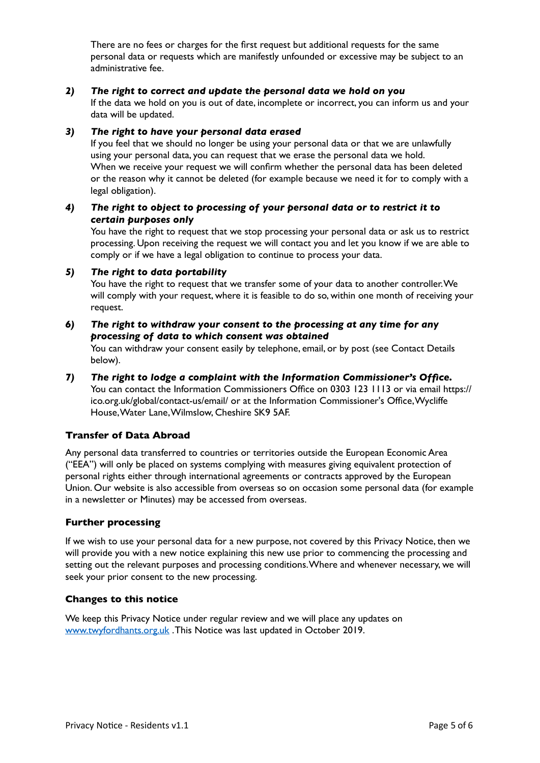There are no fees or charges for the first request but additional requests for the same personal data or requests which are manifestly unfounded or excessive may be subject to an administrative fee.

## *2) The right to correct and update the personal data we hold on you*

If the data we hold on you is out of date, incomplete or incorrect, you can inform us and your data will be updated.

## *3) The right to have your personal data erased*

If you feel that we should no longer be using your personal data or that we are unlawfully using your personal data, you can request that we erase the personal data we hold. When we receive your request we will confirm whether the personal data has been deleted or the reason why it cannot be deleted (for example because we need it for to comply with a legal obligation).

## *4) The right to object to processing of your personal data or to restrict it to certain purposes only*

You have the right to request that we stop processing your personal data or ask us to restrict processing. Upon receiving the request we will contact you and let you know if we are able to comply or if we have a legal obligation to continue to process your data.

# *5) The right to data portability*

You have the right to request that we transfer some of your data to another controller. We will comply with your request, where it is feasible to do so, within one month of receiving your request.

# *6) The right to withdraw your consent to the processing at any time for any processing of data to which consent was obtained*

You can withdraw your consent easily by telephone, email, or by post (see Contact Details below).

# *7) The right to lodge a complaint with the Information Commissioner's Office.*

You can contact the Information Commissioners Office on 0303 123 1113 or via email https:// ico.org.uk/global/contact-us/email/ or at the Information Commissioner's Office, Wycliffe House, Water Lane, Wilmslow, Cheshire SK9 5AF.

# **Transfer of Data Abroad**

Any personal data transferred to countries or territories outside the European Economic Area ("EEA") will only be placed on systems complying with measures giving equivalent protection of personal rights either through international agreements or contracts approved by the European Union. Our website is also accessible from overseas so on occasion some personal data (for example in a newsletter or Minutes) may be accessed from overseas.

# **Further processing**

If we wish to use your personal data for a new purpose, not covered by this Privacy Notice, then we will provide you with a new notice explaining this new use prior to commencing the processing and setting out the relevant purposes and processing conditions. Where and whenever necessary, we will seek your prior consent to the new processing.

## **Changes to this notice**

We keep this Privacy Notice under regular review and we will place any updates on [www.twyfordhants.org.uk](http://www.twyfordhants.org.uk) . This Notice was last updated in October 2019.